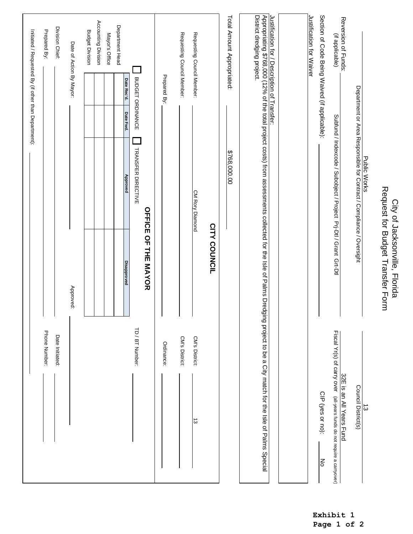|                                                          |                                                                                                                                                                                                                             | Request for Budget Transfer Form<br>City of Jacksonville, Florida |                                  |                                                                          |
|----------------------------------------------------------|-----------------------------------------------------------------------------------------------------------------------------------------------------------------------------------------------------------------------------|-------------------------------------------------------------------|----------------------------------|--------------------------------------------------------------------------|
|                                                          | Public Works<br>Department or Area Responsible for Contract / Compliance / Oversight                                                                                                                                        |                                                                   |                                  | Council District(s)<br>ದ                                                 |
| Reversion of Funds:<br>(if applicable)                   | Subfund / Indexcode / Subobject / Project Prj-Dtl / Grant Grt-Dtl                                                                                                                                                           |                                                                   | Fiscal Yr(s) of carry over       | 32E is an All Years Fund<br>(all-years funds do not require a carryover) |
| Section of Code Being Waived (if applicable):            |                                                                                                                                                                                                                             |                                                                   |                                  | CIP (yes or no):<br>š                                                    |
| Justification for Waiver                                 |                                                                                                                                                                                                                             |                                                                   |                                  |                                                                          |
| District dredging project.                               | Justification for / Description of Transfer:<br>Appropriating \$768,000 (12% of the total project costs) from assessments collected for the Isle of Palms Dredging project to be a City match for the Isle of Palms Special |                                                                   |                                  |                                                                          |
| Total Amount Appropriated:                               | \$768,000.00                                                                                                                                                                                                                |                                                                   |                                  |                                                                          |
|                                                          |                                                                                                                                                                                                                             | <b>CITY COUNCIL</b>                                               |                                  |                                                                          |
| Requesting Council Member:<br>Requesting Council Member: | CM Rory Diamond                                                                                                                                                                                                             |                                                                   | CM's District:<br>CM's District: | ದ                                                                        |
| Prepared By:                                             |                                                                                                                                                                                                                             | $\mathbf{I}$                                                      | Ordinance:                       |                                                                          |
| BUDGET ORDINANCE                                         | <b>TRANSFER DIRECTIVE</b>                                                                                                                                                                                                   | <b>OFFICE OF THE MAYOR</b>                                        | TD / BT Number:                  |                                                                          |
| Department Head<br>Date Rec'd.                           | Date Fwd.<br>Approved                                                                                                                                                                                                       | <b>Disapproved</b>                                                |                                  |                                                                          |
| Mayor's Office                                           |                                                                                                                                                                                                                             |                                                                   |                                  |                                                                          |
| Accounting Division<br><b>Budget Division</b>            |                                                                                                                                                                                                                             |                                                                   |                                  |                                                                          |
| Division Chief:<br>Date of Action By Mayor:              |                                                                                                                                                                                                                             | Approved:<br>$\mathbf{I}$                                         | Date Initiated:                  |                                                                          |
| Prepared By:                                             |                                                                                                                                                                                                                             |                                                                   | Phone Number:                    |                                                                          |
| Initiated / Requested By (if other than Department):     |                                                                                                                                                                                                                             |                                                                   |                                  |                                                                          |